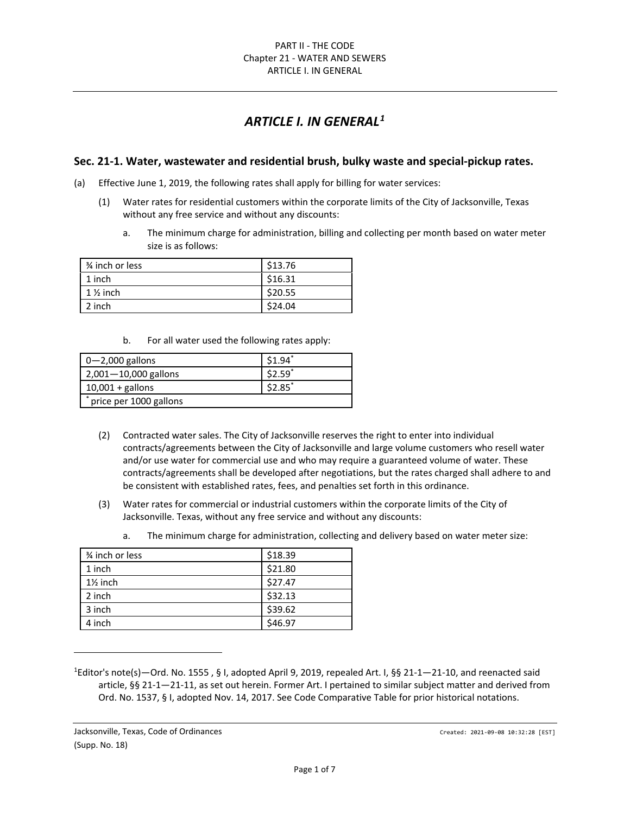# *ARTICLE I. IN GENERAL[1](#page-0-0)*

# **Sec. 21-1. Water, wastewater and residential brush, bulky waste and special-pickup rates.**

- (a) Effective June 1, 2019, the following rates shall apply for billing for water services:
	- (1) Water rates for residential customers within the corporate limits of the City of Jacksonville, Texas without any free service and without any discounts:
		- a. The minimum charge for administration, billing and collecting per month based on water meter size is as follows:

| 3⁄4 inch or less    | \$13.76 |
|---------------------|---------|
| 1 inch              | \$16.31 |
| $1\frac{1}{2}$ inch | \$20.55 |
| 2 inch              | \$24.04 |

b. For all water used the following rates apply:

| $\sqrt{0}$ 0 $-$ 2,000 gallons | \$1.94" |
|--------------------------------|---------|
| $2,001 - 10,000$ gallons       | \$2.59* |
| $10,001 +$ gallons             | \$2.85* |
| price per 1000 gallons         |         |

- (2) Contracted water sales. The City of Jacksonville reserves the right to enter into individual contracts/agreements between the City of Jacksonville and large volume customers who resell water and/or use water for commercial use and who may require a guaranteed volume of water. These contracts/agreements shall be developed after negotiations, but the rates charged shall adhere to and be consistent with established rates, fees, and penalties set forth in this ordinance.
- (3) Water rates for commercial or industrial customers within the corporate limits of the City of Jacksonville. Texas, without any free service and without any discounts:
	- a. The minimum charge for administration, collecting and delivery based on water meter size:

| 3⁄4 inch or less    | \$18.39 |
|---------------------|---------|
| 1 inch              | \$21.80 |
| $1\frac{1}{2}$ inch | \$27.47 |
| 2 inch              | \$32.13 |
| 3 inch              | \$39.62 |
| 4 inch              | \$46.97 |

<span id="page-0-0"></span><sup>&</sup>lt;sup>1</sup>Editor's note(s)—Ord. No. 1555, § I, adopted April 9, 2019, repealed Art. I, §§ 21-1—21-10, and reenacted said article, §§ 21-1—21-11, as set out herein. Former Art. I pertained to similar subject matter and derived from Ord. No. 1537, § I, adopted Nov. 14, 2017. See Code Comparative Table for prior historical notations.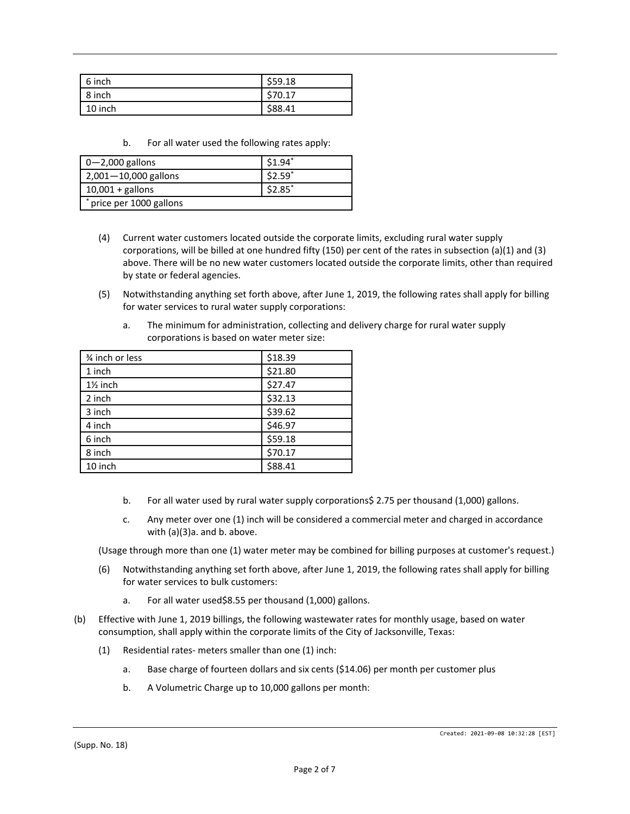| 6 inch  | \$59.18 |
|---------|---------|
| 8 inch  | \$70.17 |
| 10 inch | \$88.41 |

b. For all water used the following rates apply:

| $0 - 2,000$ gallons      | $$1.94$ <sup>*</sup> |
|--------------------------|----------------------|
| $2,001 - 10,000$ gallons | $$2.59$ *            |
| $10,001 +$ gallons       | $$2.85$ <sup>*</sup> |
| * price per 1000 gallons |                      |

- (4) Current water customers located outside the corporate limits, excluding rural water supply corporations, will be billed at one hundred fifty (150) per cent of the rates in subsection (a)(1) and (3) above. There will be no new water customers located outside the corporate limits, other than required by state or federal agencies.
- (5) Notwithstanding anything set forth above, after June 1, 2019, the following rates shall apply for billing for water services to rural water supply corporations:
	- a. The minimum for administration, collecting and delivery charge for rural water supply corporations is based on water meter size:

| 3⁄4 inch or less    | \$18.39 |
|---------------------|---------|
| 1 inch              | \$21.80 |
| $1\frac{1}{2}$ inch | \$27.47 |
| 2 inch              | \$32.13 |
| 3 inch              | \$39.62 |
| 4 inch              | \$46.97 |
| 6 inch              | \$59.18 |
| 8 inch              | \$70.17 |
| 10 inch             | \$88.41 |
|                     |         |

- b. For all water used by rural water supply corporations\$ 2.75 per thousand (1,000) gallons.
- c. Any meter over one (1) inch will be considered a commercial meter and charged in accordance with (a)(3)a. and b. above.

(Usage through more than one (1) water meter may be combined for billing purposes at customer's request.)

- (6) Notwithstanding anything set forth above, after June 1, 2019, the following rates shall apply for billing for water services to bulk customers:
	- a. For all water used\$8.55 per thousand (1,000) gallons.
- (b) Effective with June 1, 2019 billings, the following wastewater rates for monthly usage, based on water consumption, shall apply within the corporate limits of the City of Jacksonville, Texas:
	- (1) Residential rates- meters smaller than one (1) inch:
		- a. Base charge of fourteen dollars and six cents (\$14.06) per month per customer plus
		- b. A Volumetric Charge up to 10,000 gallons per month: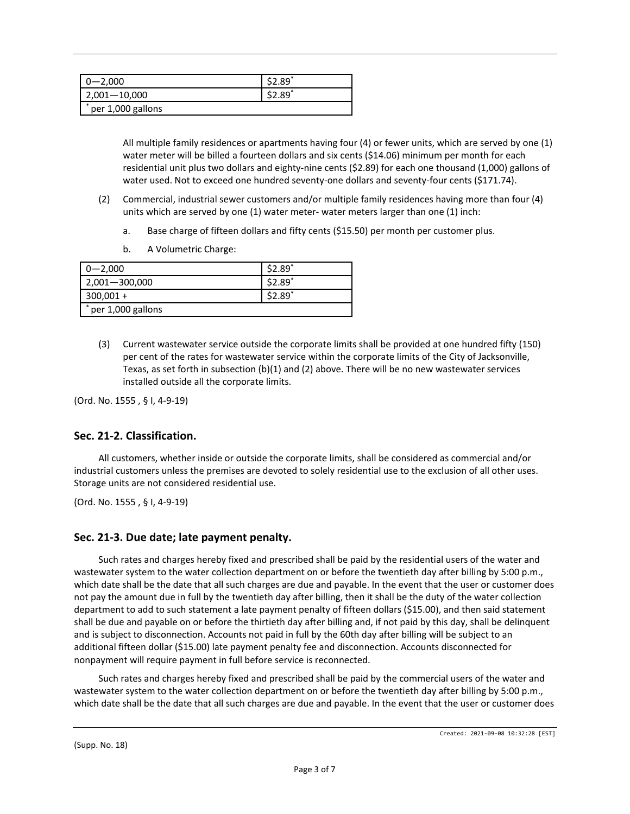| $0 - 2,000$       | \$2.89"      |
|-------------------|--------------|
| $2,001 - 10,000$  | ر $2.89^{*}$ |
| per 1,000 gallons |              |

All multiple family residences or apartments having four (4) or fewer units, which are served by one (1) water meter will be billed a fourteen dollars and six cents (\$14.06) minimum per month for each residential unit plus two dollars and eighty-nine cents (\$2.89) for each one thousand (1,000) gallons of water used. Not to exceed one hundred seventy-one dollars and seventy-four cents (\$171.74).

- (2) Commercial, industrial sewer customers and/or multiple family residences having more than four (4) units which are served by one (1) water meter- water meters larger than one (1) inch:
	- a. Base charge of fifteen dollars and fifty cents (\$15.50) per month per customer plus.
	- b. A Volumetric Charge:

| $0 - 2,000$       | \$2.89  |
|-------------------|---------|
| $2,001 - 300,000$ | \$2.89  |
| $300,001 +$       | \$2.89* |
| per 1,000 gallons |         |

(3) Current wastewater service outside the corporate limits shall be provided at one hundred fifty (150) per cent of the rates for wastewater service within the corporate limits of the City of Jacksonville, Texas, as set forth in subsection (b)(1) and (2) above. There will be no new wastewater services installed outside all the corporate limits.

(Ord. No. 1555 , § I, 4-9-19)

# **Sec. 21-2. Classification.**

All customers, whether inside or outside the corporate limits, shall be considered as commercial and/or industrial customers unless the premises are devoted to solely residential use to the exclusion of all other uses. Storage units are not considered residential use.

(Ord. No. 1555 , § I, 4-9-19)

# **Sec. 21-3. Due date; late payment penalty.**

Such rates and charges hereby fixed and prescribed shall be paid by the residential users of the water and wastewater system to the water collection department on or before the twentieth day after billing by 5:00 p.m., which date shall be the date that all such charges are due and payable. In the event that the user or customer does not pay the amount due in full by the twentieth day after billing, then it shall be the duty of the water collection department to add to such statement a late payment penalty of fifteen dollars (\$15.00), and then said statement shall be due and payable on or before the thirtieth day after billing and, if not paid by this day, shall be delinquent and is subject to disconnection. Accounts not paid in full by the 60th day after billing will be subject to an additional fifteen dollar (\$15.00) late payment penalty fee and disconnection. Accounts disconnected for nonpayment will require payment in full before service is reconnected.

Such rates and charges hereby fixed and prescribed shall be paid by the commercial users of the water and wastewater system to the water collection department on or before the twentieth day after billing by 5:00 p.m., which date shall be the date that all such charges are due and payable. In the event that the user or customer does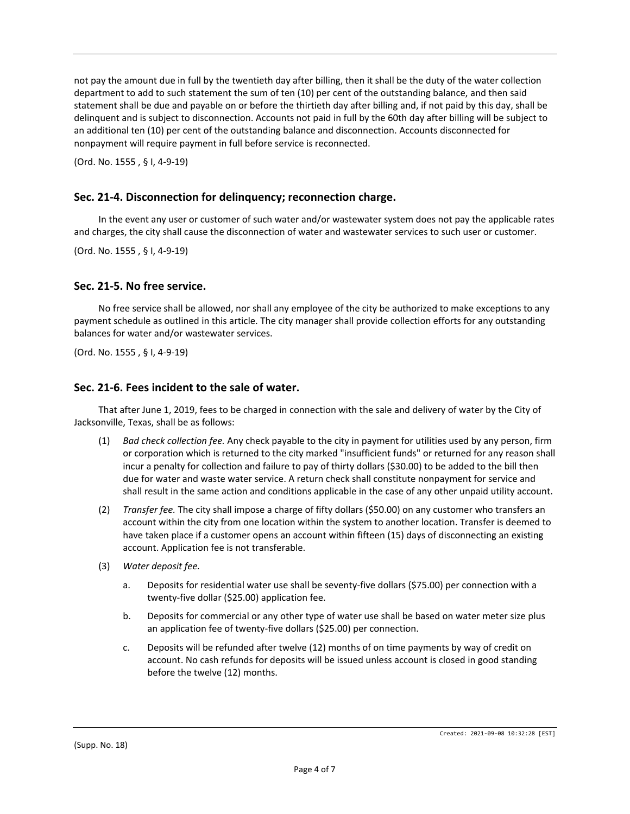not pay the amount due in full by the twentieth day after billing, then it shall be the duty of the water collection department to add to such statement the sum of ten (10) per cent of the outstanding balance, and then said statement shall be due and payable on or before the thirtieth day after billing and, if not paid by this day, shall be delinquent and is subject to disconnection. Accounts not paid in full by the 60th day after billing will be subject to an additional ten (10) per cent of the outstanding balance and disconnection. Accounts disconnected for nonpayment will require payment in full before service is reconnected.

(Ord. No. 1555 , § I, 4-9-19)

## **Sec. 21-4. Disconnection for delinquency; reconnection charge.**

In the event any user or customer of such water and/or wastewater system does not pay the applicable rates and charges, the city shall cause the disconnection of water and wastewater services to such user or customer.

(Ord. No. 1555 , § I, 4-9-19)

## **Sec. 21-5. No free service.**

No free service shall be allowed, nor shall any employee of the city be authorized to make exceptions to any payment schedule as outlined in this article. The city manager shall provide collection efforts for any outstanding balances for water and/or wastewater services.

(Ord. No. 1555 , § I, 4-9-19)

#### **Sec. 21-6. Fees incident to the sale of water.**

That after June 1, 2019, fees to be charged in connection with the sale and delivery of water by the City of Jacksonville, Texas, shall be as follows:

- (1) *Bad check collection fee.* Any check payable to the city in payment for utilities used by any person, firm or corporation which is returned to the city marked "insufficient funds" or returned for any reason shall incur a penalty for collection and failure to pay of thirty dollars (\$30.00) to be added to the bill then due for water and waste water service. A return check shall constitute nonpayment for service and shall result in the same action and conditions applicable in the case of any other unpaid utility account.
- (2) *Transfer fee.* The city shall impose a charge of fifty dollars (\$50.00) on any customer who transfers an account within the city from one location within the system to another location. Transfer is deemed to have taken place if a customer opens an account within fifteen (15) days of disconnecting an existing account. Application fee is not transferable.
- (3) *Water deposit fee.*
	- a. Deposits for residential water use shall be seventy-five dollars (\$75.00) per connection with a twenty-five dollar (\$25.00) application fee.
	- b. Deposits for commercial or any other type of water use shall be based on water meter size plus an application fee of twenty-five dollars (\$25.00) per connection.
	- c. Deposits will be refunded after twelve (12) months of on time payments by way of credit on account. No cash refunds for deposits will be issued unless account is closed in good standing before the twelve (12) months.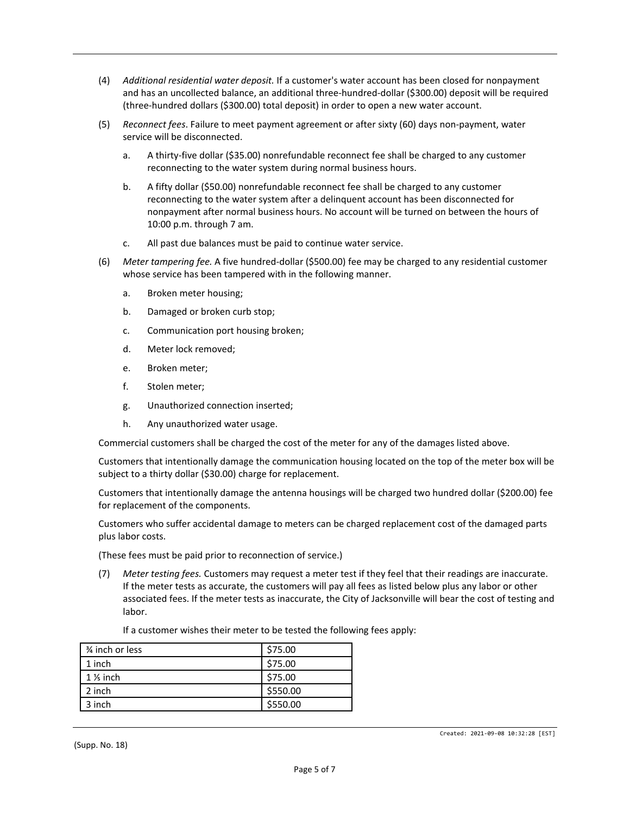- (4) *Additional residential water deposit.* If a customer's water account has been closed for nonpayment and has an uncollected balance, an additional three-hundred-dollar (\$300.00) deposit will be required (three-hundred dollars (\$300.00) total deposit) in order to open a new water account.
- (5) *Reconnect fees*. Failure to meet payment agreement or after sixty (60) days non-payment, water service will be disconnected.
	- a. A thirty-five dollar (\$35.00) nonrefundable reconnect fee shall be charged to any customer reconnecting to the water system during normal business hours.
	- b. A fifty dollar (\$50.00) nonrefundable reconnect fee shall be charged to any customer reconnecting to the water system after a delinquent account has been disconnected for nonpayment after normal business hours. No account will be turned on between the hours of 10:00 p.m. through 7 am.
	- c. All past due balances must be paid to continue water service.
- (6) *Meter tampering fee.* A five hundred-dollar (\$500.00) fee may be charged to any residential customer whose service has been tampered with in the following manner.
	- a. Broken meter housing;
	- b. Damaged or broken curb stop;
	- c. Communication port housing broken;
	- d. Meter lock removed;
	- e. Broken meter;
	- f. Stolen meter;
	- g. Unauthorized connection inserted;
	- h. Any unauthorized water usage.

Commercial customers shall be charged the cost of the meter for any of the damages listed above.

Customers that intentionally damage the communication housing located on the top of the meter box will be subject to a thirty dollar (\$30.00) charge for replacement.

Customers that intentionally damage the antenna housings will be charged two hundred dollar (\$200.00) fee for replacement of the components.

Customers who suffer accidental damage to meters can be charged replacement cost of the damaged parts plus labor costs.

(These fees must be paid prior to reconnection of service.)

(7) *Meter testing fees.* Customers may request a meter test if they feel that their readings are inaccurate. If the meter tests as accurate, the customers will pay all fees as listed below plus any labor or other associated fees. If the meter tests as inaccurate, the City of Jacksonville will bear the cost of testing and labor.

| 3⁄4 inch or less    | \$75.00  |
|---------------------|----------|
| 1 inch              | \$75.00  |
| $1\frac{1}{5}$ inch | \$75.00  |
| 2 inch              | \$550.00 |
| 3 inch              | \$550.00 |

If a customer wishes their meter to be tested the following fees apply: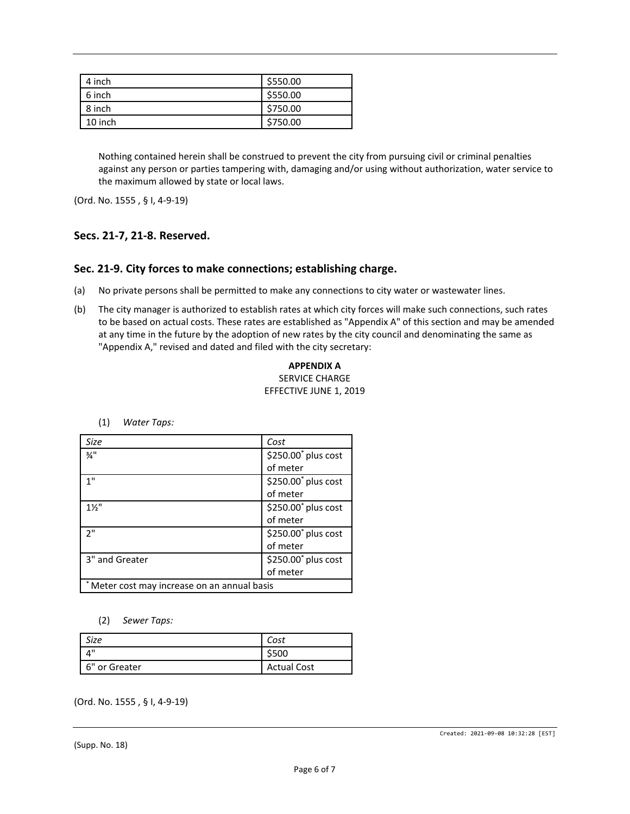| 4 inch  | \$550.00 |
|---------|----------|
| 6 inch  | \$550.00 |
| 8 inch  | \$750.00 |
| 10 inch | \$750.00 |

Nothing contained herein shall be construed to prevent the city from pursuing civil or criminal penalties against any person or parties tampering with, damaging and/or using without authorization, water service to the maximum allowed by state or local laws.

(Ord. No. 1555 , § I, 4-9-19)

# **Secs. 21-7, 21-8. Reserved.**

## **Sec. 21-9. City forces to make connections; establishing charge.**

- (a) No private persons shall be permitted to make any connections to city water or wastewater lines.
- (b) The city manager is authorized to establish rates at which city forces will make such connections, such rates to be based on actual costs. These rates are established as "Appendix A" of this section and may be amended at any time in the future by the adoption of new rates by the city council and denominating the same as "Appendix A," revised and dated and filed with the city secretary:

**APPENDIX A** SERVICE CHARGE EFFECTIVE JUNE 1, 2019

| Size                                         | Cost                            |
|----------------------------------------------|---------------------------------|
| $\frac{3}{4}$ "                              | \$250.00 <sup>*</sup> plus cost |
|                                              | of meter                        |
| 1"                                           | \$250.00 <sup>*</sup> plus cost |
|                                              | of meter                        |
| $1\frac{1}{2}$                               | \$250.00 <sup>*</sup> plus cost |
|                                              | of meter                        |
| 2"                                           | \$250.00 <sup>*</sup> plus cost |
|                                              | of meter                        |
| 3" and Greater                               | \$250.00 <sup>*</sup> plus cost |
|                                              | of meter                        |
| * Meter cost may increase on an annual basis |                                 |

(1) *Water Taps:*

(2) *Sewer Taps:*

| cize :        |                    |
|---------------|--------------------|
|               |                    |
| 6" or Greater | <b>Actual Cost</b> |

(Ord. No. 1555 , § I, 4-9-19)